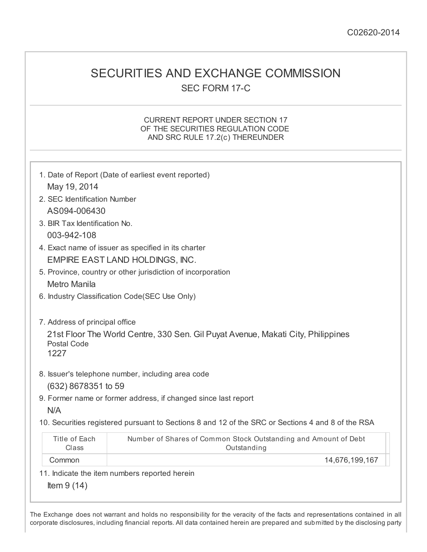## SECURITIES AND EXCHANGE COMMISSION SEC FORM 17-C

### CURRENT REPORT UNDER SECTION 17 OF THE SECURITIES REGULATION CODE AND SRC RULE 17.2(c) THEREUNDER

|                                | 1. Date of Report (Date of earliest event reported)                                               |
|--------------------------------|---------------------------------------------------------------------------------------------------|
| May 19, 2014                   |                                                                                                   |
| 2. SEC Identification Number   |                                                                                                   |
| AS094-006430                   |                                                                                                   |
| 3. BIR Tax Identification No.  |                                                                                                   |
| 003-942-108                    |                                                                                                   |
|                                | 4. Exact name of issuer as specified in its charter                                               |
|                                | EMPIRE EAST LAND HOLDINGS, INC.                                                                   |
|                                | 5. Province, country or other jurisdiction of incorporation                                       |
| <b>Metro Manila</b>            |                                                                                                   |
|                                | 6. Industry Classification Code(SEC Use Only)                                                     |
| 7. Address of principal office |                                                                                                   |
| <b>Postal Code</b><br>1227     | 21st Floor The World Centre, 330 Sen. Gil Puyat Avenue, Makati City, Philippines                  |
|                                | 8. Issuer's telephone number, including area code                                                 |
| (632) 8678351 to 59            |                                                                                                   |
|                                | 9. Former name or former address, if changed since last report                                    |
| N/A                            |                                                                                                   |
|                                | 10. Securities registered pursuant to Sections 8 and 12 of the SRC or Sections 4 and 8 of the RSA |
| Title of Each<br>Class         | Number of Shares of Common Stock Outstanding and Amount of Debt<br>Outstanding                    |
| Common                         | 14,676,199,167                                                                                    |
|                                | 11. Indicate the item numbers reported herein                                                     |
| Item $9(14)$                   |                                                                                                   |
|                                |                                                                                                   |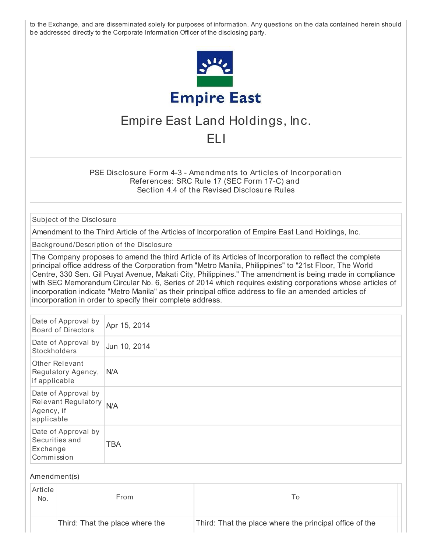to the Exchange, and are disseminated solely for purposes of information. Any questions on the data contained herein should be addressed directly to the Corporate Information Officer of the disclosing party.



# Empire East Land Holdings, Inc.

## ELI

PSE Disclosure Form 4-3 - Amendments to Articles of Incorporation References: SRC Rule 17 (SEC Form 17-C) and Section 4.4 of the Revised Disclosure Rules

Subject of the Disclosure

Amendment to the Third Article of the Articles of Incorporation of Empire East Land Holdings, Inc.

Background/Description of the Disclosure

The Company proposes to amend the third Article of its Articles of Incorporation to reflect the complete principal office address of the Corporation from "Metro Manila, Philippines" to "21st Floor, The World Centre, 330 Sen. Gil Puyat Avenue, Makati City, Philippines." The amendment is being made in compliance with SEC Memorandum Circular No. 6, Series of 2014 which requires existing corporations whose articles of incorporation indicate "Metro Manila" as their principal office address to file an amended articles of incorporation in order to specify their complete address.

| Date of Approval by<br><b>Board of Directors</b>                       | Apr 15, 2014 |
|------------------------------------------------------------------------|--------------|
| Date of Approval by<br>Stockholders                                    | Jun 10, 2014 |
| <b>Other Relevant</b><br>Regulatory Agency,<br>if applicable           | <b>N/A</b>   |
| Date of Approval by<br>Relevant Regulatory<br>Agency, if<br>applicable | N/A          |
| Date of Approval by<br>Securities and<br>Exchange<br>Commission        | <b>TBA</b>   |

#### Amendment(s)

| Article<br>No. | From                            |                                                         |  |
|----------------|---------------------------------|---------------------------------------------------------|--|
|                | Third: That the place where the | Third: That the place where the principal office of the |  |